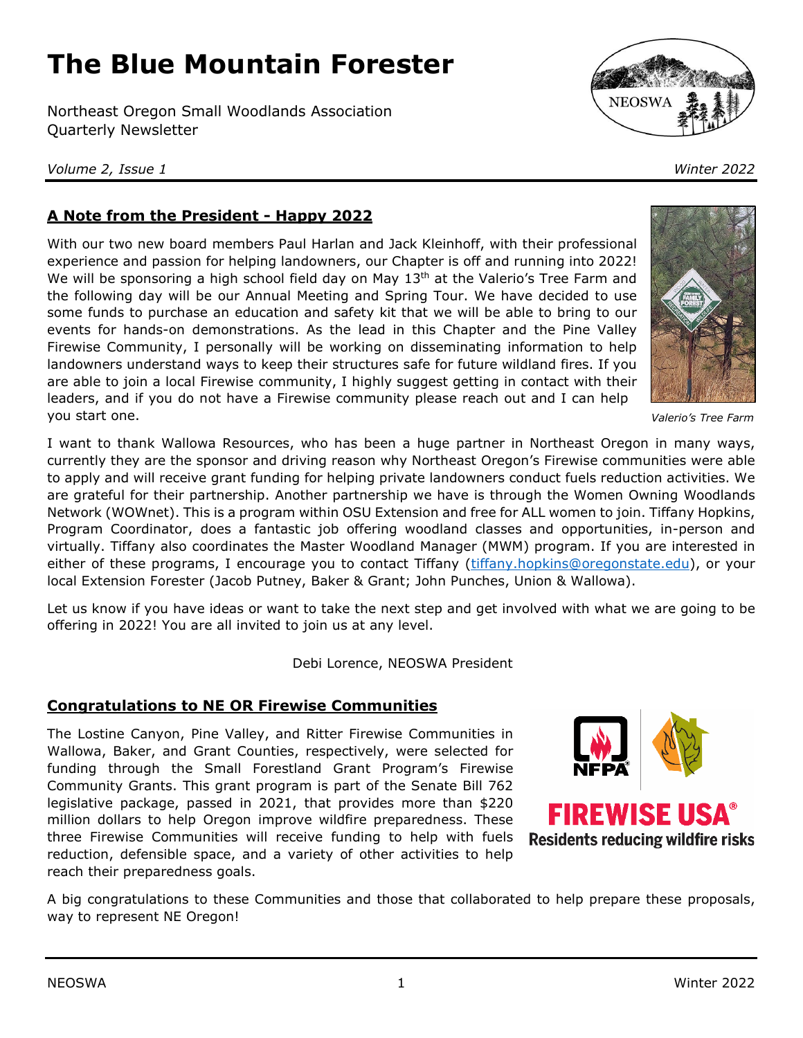# **The Blue Mountain Forester**

Northeast Oregon Small Woodlands Association Quarterly Newsletter

*Volume 2, Issue 1 Winter 2022*



# **A Note from the President - Happy 2022**

With our two new board members Paul Harlan and Jack Kleinhoff, with their professional experience and passion for helping landowners, our Chapter is off and running into 2022! We will be sponsoring a high school field day on May  $13<sup>th</sup>$  at the Valerio's Tree Farm and the following day will be our Annual Meeting and Spring Tour. We have decided to use some funds to purchase an education and safety kit that we will be able to bring to our events for hands-on demonstrations. As the lead in this Chapter and the Pine Valley Firewise Community, I personally will be working on disseminating information to help landowners understand ways to keep their structures safe for future wildland fires. If you are able to join a local Firewise community, I highly suggest getting in contact with their leaders, and if you do not have a Firewise community please reach out and I can help you start one.

I want to thank Wallowa Resources, who has been a huge partner in Northeast Oregon in many ways, currently they are the sponsor and driving reason why Northeast Oregon's Firewise communities were able to apply and will receive grant funding for helping private landowners conduct fuels reduction activities. We are grateful for their partnership. Another partnership we have is through the Women Owning Woodlands Network (WOWnet). This is a program within OSU Extension and free for ALL women to join. Tiffany Hopkins, Program Coordinator, does a fantastic job offering woodland classes and opportunities, in-person and virtually. Tiffany also coordinates the Master Woodland Manager (MWM) program. If you are interested in either of these programs, I encourage you to contact Tiffany [\(tiffany.hopkins@oregonstate.edu\)](mailto:tiffany.hopkins@oregonstate.edu), or your local Extension Forester (Jacob Putney, Baker & Grant; John Punches, Union & Wallowa).

Let us know if you have ideas or want to take the next step and get involved with what we are going to be offering in 2022! You are all invited to join us at any level.

Debi Lorence, NEOSWA President

## **Congratulations to NE OR Firewise Communities**

The Lostine Canyon, Pine Valley, and Ritter Firewise Communities in Wallowa, Baker, and Grant Counties, respectively, were selected for funding through the Small Forestland Grant Program's Firewise Community Grants. This grant program is part of the Senate Bill 762 legislative package, passed in 2021, that provides more than \$220 million dollars to help Oregon improve wildfire preparedness. These three Firewise Communities will receive funding to help with fuels reduction, defensible space, and a variety of other activities to help reach their preparedness goals.



A big congratulations to these Communities and those that collaborated to help prepare these proposals, way to represent NE Oregon!



*Valerio's Tree Farm*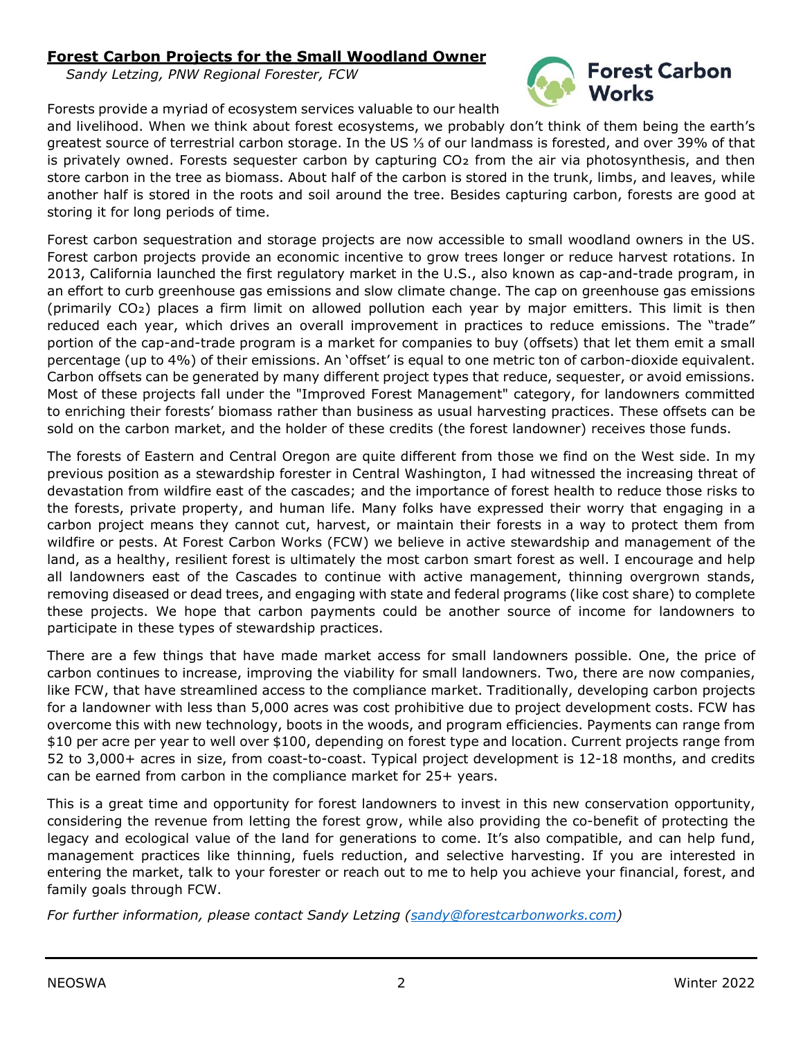## **Forest Carbon Projects for the Small Woodland Owner**

*Sandy Letzing, PNW Regional Forester, FCW*



Forests provide a myriad of ecosystem services valuable to our health

and livelihood. When we think about forest ecosystems, we probably don't think of them being the earth's greatest source of terrestrial carbon storage. In the US ⅓ of our landmass is forested, and over 39% of that is privately owned. Forests sequester carbon by capturing  $CO<sub>2</sub>$  from the air via photosynthesis, and then store carbon in the tree as biomass. About half of the carbon is stored in the trunk, limbs, and leaves, while another half is stored in the roots and soil around the tree. Besides capturing carbon, forests are good at storing it for long periods of time.

Forest carbon sequestration and storage projects are now accessible to small woodland owners in the US. Forest carbon projects provide an economic incentive to grow trees longer or reduce harvest rotations. In 2013, California launched the first regulatory market in the U.S., also known as cap-and-trade program, in an effort to curb greenhouse gas emissions and slow climate change. The cap on greenhouse gas emissions (primarily CO₂) places a firm limit on allowed pollution each year by major emitters. This limit is then reduced each year, which drives an overall improvement in practices to reduce emissions. The "trade" portion of the cap-and-trade program is a market for companies to buy (offsets) that let them emit a small percentage (up to 4%) of their emissions. An 'offset' is equal to one metric ton of carbon-dioxide equivalent. Carbon offsets can be generated by many different project types that reduce, sequester, or avoid emissions. Most of these projects fall under the "Improved Forest Management" category, for landowners committed to enriching their forests' biomass rather than business as usual harvesting practices. These offsets can be sold on the carbon market, and the holder of these credits (the forest landowner) receives those funds.

The forests of Eastern and Central Oregon are quite different from those we find on the West side. In my previous position as a stewardship forester in Central Washington, I had witnessed the increasing threat of devastation from wildfire east of the cascades; and the importance of forest health to reduce those risks to the forests, private property, and human life. Many folks have expressed their worry that engaging in a carbon project means they cannot cut, harvest, or maintain their forests in a way to protect them from wildfire or pests. At Forest Carbon Works (FCW) we believe in active stewardship and management of the land, as a healthy, resilient forest is ultimately the most carbon smart forest as well. I encourage and help all landowners east of the Cascades to continue with active management, thinning overgrown stands, removing diseased or dead trees, and engaging with state and federal programs (like cost share) to complete these projects. We hope that carbon payments could be another source of income for landowners to participate in these types of stewardship practices.

There are a few things that have made market access for small landowners possible. One, the price of carbon continues to increase, improving the viability for small landowners. Two, there are now companies, like FCW, that have streamlined access to the compliance market. Traditionally, developing carbon projects for a landowner with less than 5,000 acres was cost prohibitive due to project development costs. FCW has overcome this with new technology, boots in the woods, and program efficiencies. Payments can range from \$10 per acre per year to well over \$100, depending on forest type and location. Current projects range from 52 to 3,000+ acres in size, from coast-to-coast. Typical project development is 12-18 months, and credits can be earned from carbon in the compliance market for 25+ years.

This is a great time and opportunity for forest landowners to invest in this new conservation opportunity, considering the revenue from letting the forest grow, while also providing the co-benefit of protecting the legacy and ecological value of the land for generations to come. It's also compatible, and can help fund, management practices like thinning, fuels reduction, and selective harvesting. If you are interested in entering the market, talk to your forester or reach out to me to help you achieve your financial, forest, and family goals through FCW.

*For further information, please contact Sandy Letzing [\(sandy@forestcarbonworks.com\)](mailto:sandy@forestcarbonworks.com)*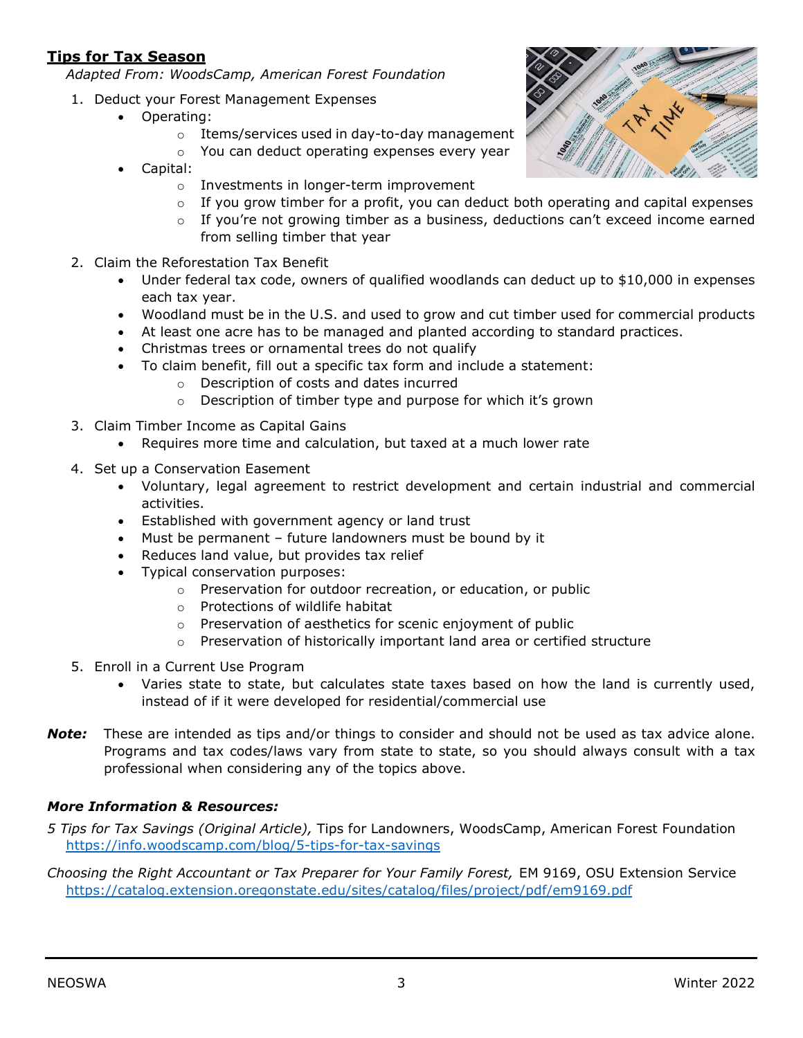## **Tips for Tax Season**

*Adapted From: WoodsCamp, American Forest Foundation*

- 1. Deduct your Forest Management Expenses
	- Operating:
		- o Items/services used in day-to-day management
		- o You can deduct operating expenses every year
	- Capital:
		- o Investments in longer-term improvement
		- $\circ$  If you grow timber for a profit, you can deduct both operating and capital expenses
		- $\circ$  If you're not growing timber as a business, deductions can't exceed income earned from selling timber that year
- 2. Claim the Reforestation Tax Benefit
	- Under federal tax code, owners of qualified woodlands can deduct up to \$10,000 in expenses each tax year.
	- Woodland must be in the U.S. and used to grow and cut timber used for commercial products
	- At least one acre has to be managed and planted according to standard practices.
	- Christmas trees or ornamental trees do not qualify
	- To claim benefit, fill out a specific tax form and include a statement:
		- o Description of costs and dates incurred
		- o Description of timber type and purpose for which it's grown
- 3. Claim Timber Income as Capital Gains
	- Requires more time and calculation, but taxed at a much lower rate
- 4. Set up a Conservation Easement
	- Voluntary, legal agreement to restrict development and certain industrial and commercial activities.
	- Established with government agency or land trust
	- Must be permanent future landowners must be bound by it
	- Reduces land value, but provides tax relief
	- Typical conservation purposes:
		- o Preservation for outdoor recreation, or education, or public
		- o Protections of wildlife habitat
		- o Preservation of aesthetics for scenic enjoyment of public
		- o Preservation of historically important land area or certified structure
- 5. Enroll in a Current Use Program
	- Varies state to state, but calculates state taxes based on how the land is currently used, instead of if it were developed for residential/commercial use
- *Note:* These are intended as tips and/or things to consider and should not be used as tax advice alone. Programs and tax codes/laws vary from state to state, so you should always consult with a tax professional when considering any of the topics above.

#### *More Information & Resources:*

- *5 Tips for Tax Savings (Original Article),* Tips for Landowners, WoodsCamp, American Forest Foundation <https://info.woodscamp.com/blog/5-tips-for-tax-savings>
- *Choosing the Right Accountant or Tax Preparer for Your Family Forest,* EM 9169, OSU Extension Service <https://catalog.extension.oregonstate.edu/sites/catalog/files/project/pdf/em9169.pdf>

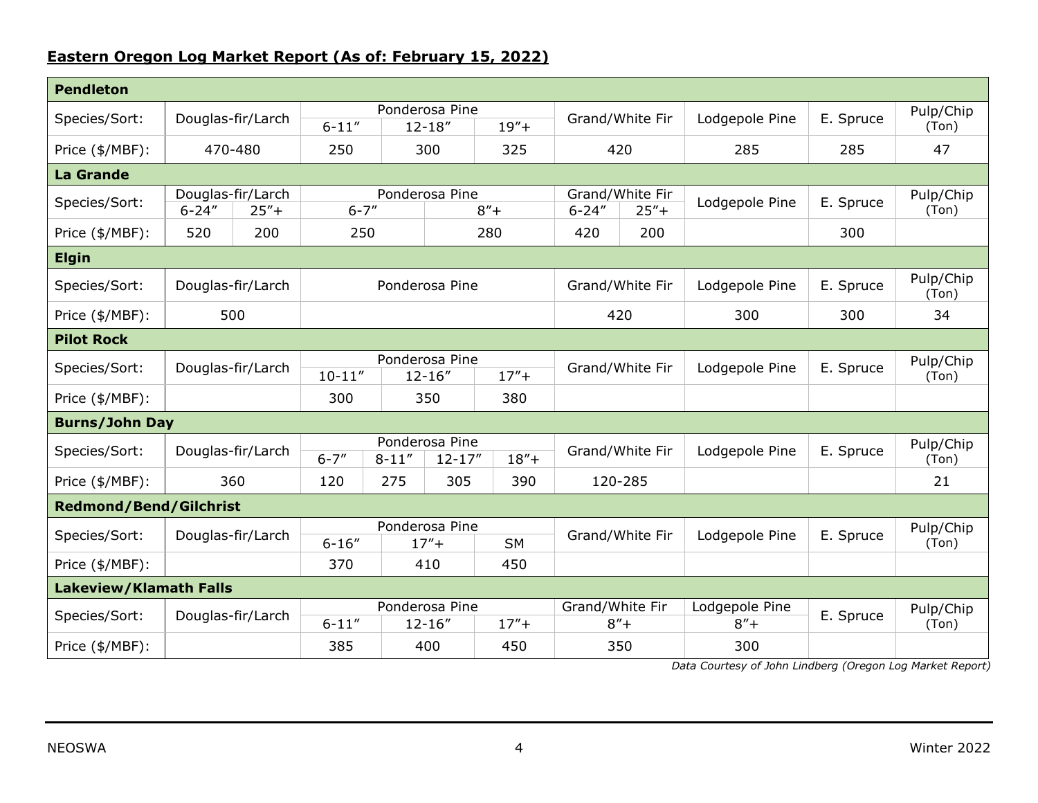## **Eastern Oregon Log Market Report (As of: February 15, 2022)**

| <b>Pendleton</b>              |                                            |  |                                                          |     |          |                 |                                           |                |                           |                    |                    |
|-------------------------------|--------------------------------------------|--|----------------------------------------------------------|-----|----------|-----------------|-------------------------------------------|----------------|---------------------------|--------------------|--------------------|
| Species/Sort:                 | Douglas-fir/Larch                          |  | Ponderosa Pine<br>$6 - 11''$<br>$12 - 18''$              |     |          | $19'' +$        | Grand/White Fir                           |                | Lodgepole Pine            | E. Spruce          | Pulp/Chip<br>(Ton) |
| Price (\$/MBF):               | 470-480                                    |  | 250                                                      |     | 300      | 325             | 420                                       |                | 285                       | 285                | 47                 |
| <b>La Grande</b>              |                                            |  |                                                          |     |          |                 |                                           |                |                           |                    |                    |
| Species/Sort:                 | Douglas-fir/Larch<br>$6 - 24"$<br>$25'' +$ |  | Ponderosa Pine<br>$6 - 7''$                              |     |          | $8'' +$         | Grand/White Fir<br>$6 - 24''$<br>$25'' +$ |                | Lodgepole Pine            | E. Spruce          | Pulp/Chip<br>(Ton) |
| Price (\$/MBF):               | 520<br>200                                 |  |                                                          | 250 |          | 280             | 420<br>200                                |                |                           | 300                |                    |
| <b>Elgin</b>                  |                                            |  |                                                          |     |          |                 |                                           |                |                           |                    |                    |
| Species/Sort:                 | Douglas-fir/Larch                          |  | Ponderosa Pine                                           |     |          |                 | Grand/White Fir                           |                | Lodgepole Pine            | E. Spruce          | Pulp/Chip<br>(Ton) |
| Price (\$/MBF):               | 500                                        |  |                                                          |     |          |                 | 420                                       |                | 300                       | 300                | 34                 |
| <b>Pilot Rock</b>             |                                            |  |                                                          |     |          |                 |                                           |                |                           |                    |                    |
| Species/Sort:                 | Douglas-fir/Larch                          |  | Ponderosa Pine<br>$10 - 11"$<br>$12 - 16''$              |     |          | $17'' +$        | Grand/White Fir                           |                | Lodgepole Pine            | E. Spruce          | Pulp/Chip<br>(Ton) |
| Price (\$/MBF):               |                                            |  | 300                                                      | 350 |          | 380             |                                           |                |                           |                    |                    |
| <b>Burns/John Day</b>         |                                            |  |                                                          |     |          |                 |                                           |                |                           |                    |                    |
| Species/Sort:                 | Douglas-fir/Larch                          |  | Ponderosa Pine<br>$6 - 7''$<br>$8 - 11''$<br>$12 - 17''$ |     | $18'' +$ | Grand/White Fir |                                           | Lodgepole Pine | E. Spruce                 | Pulp/Chip<br>(Ton) |                    |
| Price (\$/MBF):               | 360                                        |  | 120                                                      | 275 | 305      | 390             | 120-285                                   |                |                           |                    | 21                 |
| <b>Redmond/Bend/Gilchrist</b> |                                            |  |                                                          |     |          |                 |                                           |                |                           |                    |                    |
| Species/Sort:                 | Douglas-fir/Larch                          |  | Ponderosa Pine<br>$17'' +$<br>$6 - 16''$                 |     |          | <b>SM</b>       | Grand/White Fir                           |                | Lodgepole Pine            | E. Spruce          | Pulp/Chip<br>(Ton) |
| Price (\$/MBF):               |                                            |  | 370                                                      |     | 410      | 450             |                                           |                |                           |                    |                    |
| <b>Lakeview/Klamath Falls</b> |                                            |  |                                                          |     |          |                 |                                           |                |                           |                    |                    |
| Species/Sort:                 | Douglas-fir/Larch                          |  | Ponderosa Pine<br>$6 - 11''$<br>$12 - 16''$              |     |          | $17'' +$        | Grand/White Fir<br>$8'' +$                |                | Lodgepole Pine<br>$8'' +$ | E. Spruce          | Pulp/Chip<br>(Ton) |
| Price (\$/MBF):               |                                            |  | 385                                                      |     | 400      | 450             |                                           | 350            | 300                       |                    |                    |

*Data Courtesy of John Lindberg (Oregon Log Market Report)*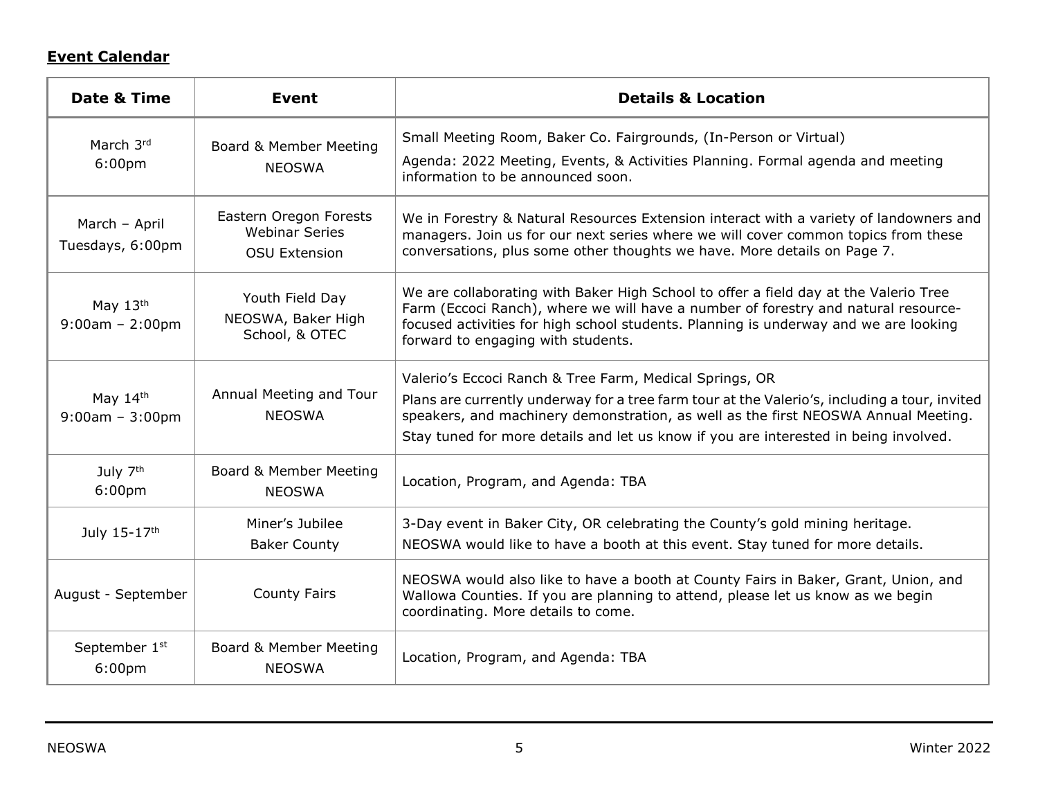# **Event Calendar**

| Date & Time                                | Event                                                                   | <b>Details &amp; Location</b>                                                                                                                                                                                                                                                                            |  |  |  |  |
|--------------------------------------------|-------------------------------------------------------------------------|----------------------------------------------------------------------------------------------------------------------------------------------------------------------------------------------------------------------------------------------------------------------------------------------------------|--|--|--|--|
| March 3rd                                  | Board & Member Meeting                                                  | Small Meeting Room, Baker Co. Fairgrounds, (In-Person or Virtual)                                                                                                                                                                                                                                        |  |  |  |  |
| 6:00 <sub>pm</sub>                         | <b>NEOSWA</b>                                                           | Agenda: 2022 Meeting, Events, & Activities Planning. Formal agenda and meeting<br>information to be announced soon.                                                                                                                                                                                      |  |  |  |  |
| March - April<br>Tuesdays, 6:00pm          | Eastern Oregon Forests<br><b>Webinar Series</b><br><b>OSU Extension</b> | We in Forestry & Natural Resources Extension interact with a variety of landowners and<br>managers. Join us for our next series where we will cover common topics from these<br>conversations, plus some other thoughts we have. More details on Page 7.                                                 |  |  |  |  |
| May $13th$<br>$9:00am - 2:00pm$            | Youth Field Day<br>NEOSWA, Baker High<br>School, & OTEC                 | We are collaborating with Baker High School to offer a field day at the Valerio Tree<br>Farm (Eccoci Ranch), where we will have a number of forestry and natural resource-<br>focused activities for high school students. Planning is underway and we are looking<br>forward to engaging with students. |  |  |  |  |
|                                            | Annual Meeting and Tour                                                 | Valerio's Eccoci Ranch & Tree Farm, Medical Springs, OR                                                                                                                                                                                                                                                  |  |  |  |  |
| May $14th$<br>$9:00am - 3:00pm$            | <b>NEOSWA</b>                                                           | Plans are currently underway for a tree farm tour at the Valerio's, including a tour, invited<br>speakers, and machinery demonstration, as well as the first NEOSWA Annual Meeting.                                                                                                                      |  |  |  |  |
|                                            |                                                                         | Stay tuned for more details and let us know if you are interested in being involved.                                                                                                                                                                                                                     |  |  |  |  |
| July 7 <sup>th</sup><br>6:00 <sub>pm</sub> | Board & Member Meeting<br><b>NEOSWA</b>                                 | Location, Program, and Agenda: TBA                                                                                                                                                                                                                                                                       |  |  |  |  |
| July 15-17th                               | Miner's Jubilee<br><b>Baker County</b>                                  | 3-Day event in Baker City, OR celebrating the County's gold mining heritage.<br>NEOSWA would like to have a booth at this event. Stay tuned for more details.                                                                                                                                            |  |  |  |  |
| August - September                         | <b>County Fairs</b>                                                     | NEOSWA would also like to have a booth at County Fairs in Baker, Grant, Union, and<br>Wallowa Counties. If you are planning to attend, please let us know as we begin<br>coordinating. More details to come.                                                                                             |  |  |  |  |
| September 1st<br>6:00 <sub>pm</sub>        | Board & Member Meeting<br><b>NEOSWA</b>                                 | Location, Program, and Agenda: TBA                                                                                                                                                                                                                                                                       |  |  |  |  |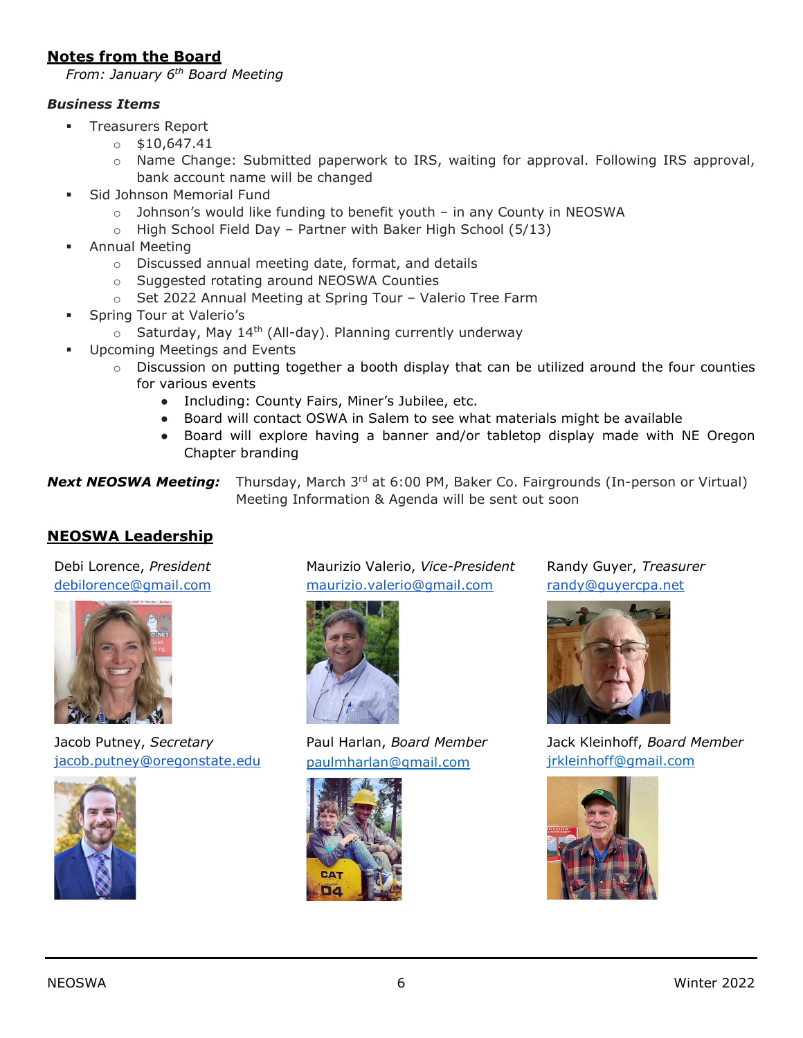### **Notes from the Board**

*From: January 6th Board Meeting*

#### *Business Items*

- **Treasurers Report** 
	- $0$ \$10,647.41
	- o Name Change: Submitted paperwork to IRS, waiting for approval. Following IRS approval, bank account name will be changed
- Sid Johnson Memorial Fund
	- $\circ$  Johnson's would like funding to benefit youth in any County in NEOSWA
	- o High School Field Day Partner with Baker High School (5/13)
- Annual Meeting
	- o Discussed annual meeting date, format, and details
	- o Suggested rotating around NEOSWA Counties
	- o Set 2022 Annual Meeting at Spring Tour Valerio Tree Farm
- Spring Tour at Valerio's
	- $\circ$  Saturday, May 14<sup>th</sup> (All-day). Planning currently underway
- **Upcoming Meetings and Events** 
	- o Discussion on putting together a booth display that can be utilized around the four counties for various events
		- Including: County Fairs, Miner's Jubilee, etc.
		- Board will contact OSWA in Salem to see what materials might be available
		- Board will explore having a banner and/or tabletop display made with NE Oregon Chapter branding

**Next NEOSWA Meeting:** Thursday, March 3<sup>rd</sup> at 6:00 PM, Baker Co. Fairgrounds (In-person or Virtual) Meeting Information & Agenda will be sent out soon

#### **NEOSWA Leadership**

Debi Lorence, *President* [debilorence@gmail.com](mailto:debilorence@gmail.com)



Jacob Putney, *Secretary* [jacob.putney@oregonstate.edu](mailto:jacob.putney@oregonstate.edu)



Maurizio Valerio, *Vice-President* [maurizio.valerio@gmail.com](mailto:maurizio.valerio@gmail.com)



Paul Harlan, *Board Member* [paulmharlan@gmail.com](mailto:paulmharlan@gmail.com)



Randy Guyer, *Treasurer* [randy@guyercpa.net](mailto:randy@guyercpa.net)



Jack Kleinhoff, *Board Member* [jrkleinhoff@gmail.com](mailto:jrkleinhoff@gmail.com)

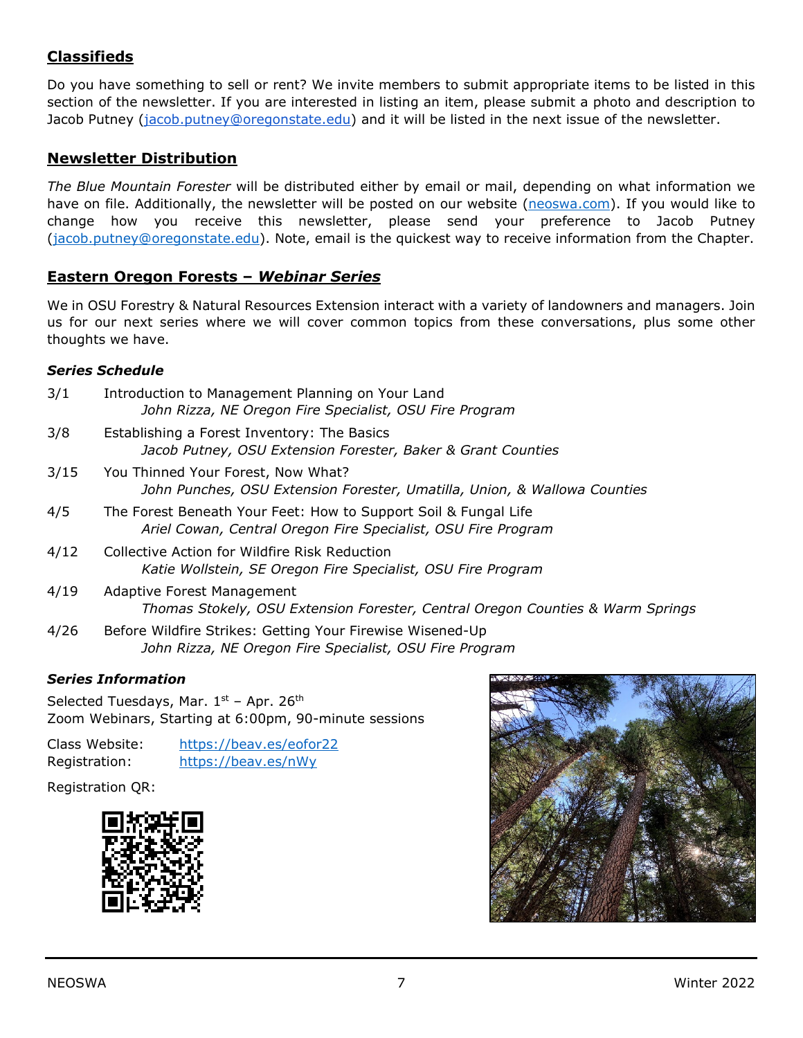## **Classifieds**

Do you have something to sell or rent? We invite members to submit appropriate items to be listed in this section of the newsletter. If you are interested in listing an item, please submit a photo and description to Jacob Putney [\(jacob.putney@oregonstate.edu\)](mailto:jacob.putney@oregonstate.edu) and it will be listed in the next issue of the newsletter.

#### **Newsletter Distribution**

*The Blue Mountain Forester* will be distributed either by email or mail, depending on what information we have on file. Additionally, the newsletter will be posted on our website [\(neoswa.com\)](https://neoswa.com/). If you would like to change how you receive this newsletter, please send your preference to Jacob Putney [\(jacob.putney@oregonstate.edu\)](mailto:jacob.putney@oregonstate.edu). Note, email is the quickest way to receive information from the Chapter.

#### **Eastern Oregon Forests –** *Webinar Series*

We in OSU Forestry & Natural Resources Extension interact with a variety of landowners and managers. Join us for our next series where we will cover common topics from these conversations, plus some other thoughts we have.

#### *Series Schedule*

| 3/1  | Introduction to Management Planning on Your Land<br>John Rizza, NE Oregon Fire Specialist, OSU Fire Program                      |
|------|----------------------------------------------------------------------------------------------------------------------------------|
| 3/8  | Establishing a Forest Inventory: The Basics<br>Jacob Putney, OSU Extension Forester, Baker & Grant Counties                      |
| 3/15 | You Thinned Your Forest, Now What?<br>John Punches, OSU Extension Forester, Umatilla, Union, & Wallowa Counties                  |
| 4/5  | The Forest Beneath Your Feet: How to Support Soil & Fungal Life<br>Ariel Cowan, Central Oregon Fire Specialist, OSU Fire Program |
| 4/12 | Collective Action for Wildfire Risk Reduction<br>Katie Wollstein, SE Oregon Fire Specialist, OSU Fire Program                    |
| 4/19 | Adaptive Forest Management<br>Thomas Stokely, OSU Extension Forester, Central Oregon Counties & Warm Springs                     |
| 4/26 | Before Wildfire Strikes: Getting Your Firewise Wisened-Up<br>John Rizza, NE Oregon Fire Specialist, OSU Fire Program             |

#### *Series Information*

Selected Tuesdays, Mar.  $1<sup>st</sup>$  – Apr. 26<sup>th</sup> Zoom Webinars, Starting at 6:00pm, 90-minute sessions

Class Website: <https://beav.es/eofor22> Registration: <https://beav.es/nWy>

Registration QR: